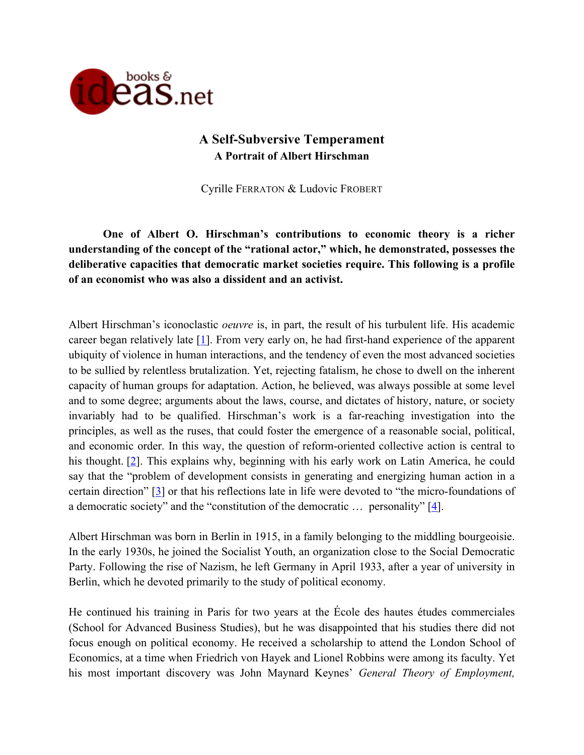

# **A Self-Subversive Temperament A Portrait of Albert Hirschman**

Cyrille FERRATON & Ludovic FROBERT

**One of Albert O. Hirschman's contributions to economic theory is a richer understanding of the concept of the "rational actor," which, he demonstrated, possesses the deliberative capacities that democratic market societies require. This following is a profile of an economist who was also a dissident and an activist.**

Albert Hirschman's iconoclastic *oeuvre* is, in part, the result of his turbulent life. His academic career began relatively late  $[1]$ . From very early on, he had first-hand experience of the apparent ubiquity of violence in human interactions, and the tendency of even the most advanced societies to be sullied by relentless brutalization. Yet, rejecting fatalism, he chose to dwell on the inherent capacity of human groups for adaptation. Action, he believed, was always possible at some level and to some degree; arguments about the laws, course, and dictates of history, nature, or society invariably had to be qualified. Hirschman's work is a far-reaching investigation into the principles, as well as the ruses, that could foster the emergence of a reasonable social, political, and economic order. In this way, the question of reform-oriented collective action is central to his thought. [2]. This explains why, beginning with his early work on Latin America, he could say that the "problem of development consists in generating and energizing human action in a certain direction" [3] or that his reflections late in life were devoted to "the micro-foundations of a democratic society" and the "constitution of the democratic  $\ldots$  personality" [4].

Albert Hirschman was born in Berlin in 1915, in a family belonging to the middling bourgeoisie. In the early 1930s, he joined the Socialist Youth, an organization close to the Social Democratic Party. Following the rise of Nazism, he left Germany in April 1933, after a year of university in Berlin, which he devoted primarily to the study of political economy.

He continued his training in Paris for two years at the École des hautes études commerciales (School for Advanced Business Studies), but he was disappointed that his studies there did not focus enough on political economy. He received a scholarship to attend the London School of Economics, at a time when Friedrich von Hayek and Lionel Robbins were among its faculty. Yet his most important discovery was John Maynard Keynes' *General Theory of Employment,*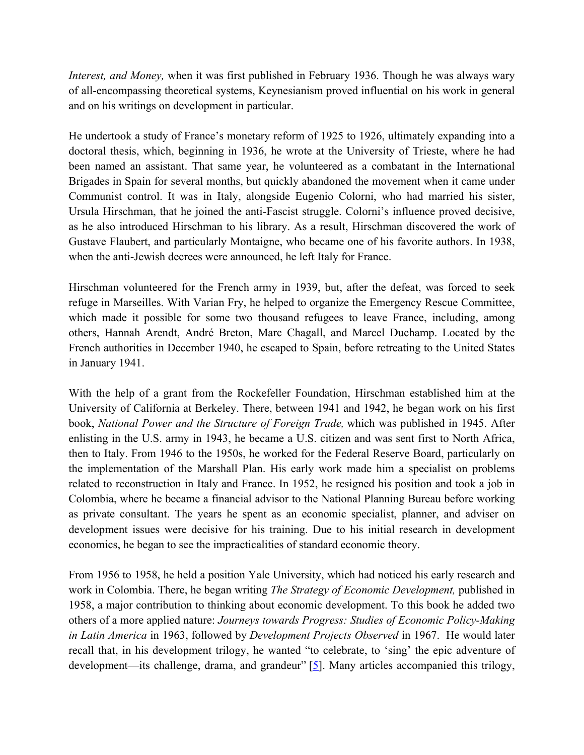*Interest, and Money,* when it was first published in February 1936. Though he was always wary of all-encompassing theoretical systems, Keynesianism proved influential on his work in general and on his writings on development in particular.

He undertook a study of France's monetary reform of 1925 to 1926, ultimately expanding into a doctoral thesis, which, beginning in 1936, he wrote at the University of Trieste, where he had been named an assistant. That same year, he volunteered as a combatant in the International Brigades in Spain for several months, but quickly abandoned the movement when it came under Communist control. It was in Italy, alongside Eugenio Colorni, who had married his sister, Ursula Hirschman, that he joined the anti-Fascist struggle. Colorni's influence proved decisive, as he also introduced Hirschman to his library. As a result, Hirschman discovered the work of Gustave Flaubert, and particularly Montaigne, who became one of his favorite authors. In 1938, when the anti-Jewish decrees were announced, he left Italy for France.

Hirschman volunteered for the French army in 1939, but, after the defeat, was forced to seek refuge in Marseilles. With Varian Fry, he helped to organize the Emergency Rescue Committee, which made it possible for some two thousand refugees to leave France, including, among others, Hannah Arendt, André Breton, Marc Chagall, and Marcel Duchamp. Located by the French authorities in December 1940, he escaped to Spain, before retreating to the United States in January 1941.

With the help of a grant from the Rockefeller Foundation, Hirschman established him at the University of California at Berkeley. There, between 1941 and 1942, he began work on his first book, *National Power and the Structure of Foreign Trade,* which was published in 1945. After enlisting in the U.S. army in 1943, he became a U.S. citizen and was sent first to North Africa, then to Italy. From 1946 to the 1950s, he worked for the Federal Reserve Board, particularly on the implementation of the Marshall Plan. His early work made him a specialist on problems related to reconstruction in Italy and France. In 1952, he resigned his position and took a job in Colombia, where he became a financial advisor to the National Planning Bureau before working as private consultant. The years he spent as an economic specialist, planner, and adviser on development issues were decisive for his training. Due to his initial research in development economics, he began to see the impracticalities of standard economic theory.

From 1956 to 1958, he held a position Yale University, which had noticed his early research and work in Colombia. There, he began writing *The Strategy of Economic Development,* published in 1958, a major contribution to thinking about economic development. To this book he added two others of a more applied nature: *Journeys towards Progress: Studies of Economic Policy-Making in Latin America* in 1963, followed by *Development Projects Observed* in 1967. He would later recall that, in his development trilogy, he wanted "to celebrate, to 'sing' the epic adventure of development—its challenge, drama, and grandeur" [5]. Many articles accompanied this trilogy,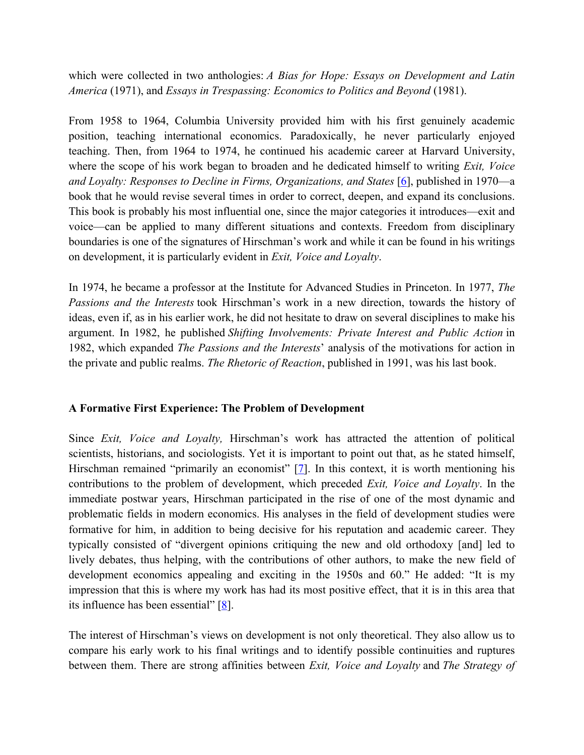which were collected in two anthologies: *A Bias for Hope: Essays on Development and Latin America* (1971), and *Essays in Trespassing: Economics to Politics and Beyond* (1981).

From 1958 to 1964, Columbia University provided him with his first genuinely academic position, teaching international economics. Paradoxically, he never particularly enjoyed teaching. Then, from 1964 to 1974, he continued his academic career at Harvard University, where the scope of his work began to broaden and he dedicated himself to writing *Exit, Voice and Loyalty: Responses to Decline in Firms, Organizations, and States* [6], published in 1970—a book that he would revise several times in order to correct, deepen, and expand its conclusions. This book is probably his most influential one, since the major categories it introduces—exit and voice—can be applied to many different situations and contexts. Freedom from disciplinary boundaries is one of the signatures of Hirschman's work and while it can be found in his writings on development, it is particularly evident in *Exit, Voice and Loyalty*.

In 1974, he became a professor at the Institute for Advanced Studies in Princeton. In 1977, *The Passions and the Interests* took Hirschman's work in a new direction, towards the history of ideas, even if, as in his earlier work, he did not hesitate to draw on several disciplines to make his argument. In 1982, he published *Shifting Involvements: Private Interest and Public Action* in 1982, which expanded *The Passions and the Interests*' analysis of the motivations for action in the private and public realms. *The Rhetoric of Reaction*, published in 1991, was his last book.

# **A Formative First Experience: The Problem of Development**

Since *Exit, Voice and Loyalty,* Hirschman's work has attracted the attention of political scientists, historians, and sociologists. Yet it is important to point out that, as he stated himself, Hirschman remained "primarily an economist"  $[7]$ . In this context, it is worth mentioning his contributions to the problem of development, which preceded *Exit, Voice and Loyalty*. In the immediate postwar years, Hirschman participated in the rise of one of the most dynamic and problematic fields in modern economics. His analyses in the field of development studies were formative for him, in addition to being decisive for his reputation and academic career. They typically consisted of "divergent opinions critiquing the new and old orthodoxy [and] led to lively debates, thus helping, with the contributions of other authors, to make the new field of development economics appealing and exciting in the 1950s and 60." He added: "It is my impression that this is where my work has had its most positive effect, that it is in this area that its influence has been essential"  $[8]$ .

The interest of Hirschman's views on development is not only theoretical. They also allow us to compare his early work to his final writings and to identify possible continuities and ruptures between them. There are strong affinities between *Exit, Voice and Loyalty* and *The Strategy of*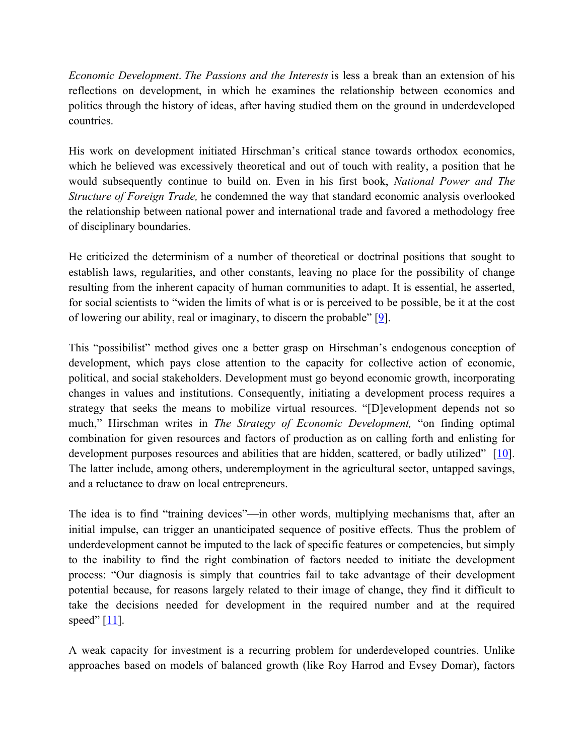*Economic Development*. *The Passions and the Interests* is less a break than an extension of his reflections on development, in which he examines the relationship between economics and politics through the history of ideas, after having studied them on the ground in underdeveloped countries.

His work on development initiated Hirschman's critical stance towards orthodox economics, which he believed was excessively theoretical and out of touch with reality, a position that he would subsequently continue to build on. Even in his first book, *National Power and The Structure of Foreign Trade,* he condemned the way that standard economic analysis overlooked the relationship between national power and international trade and favored a methodology free of disciplinary boundaries.

He criticized the determinism of a number of theoretical or doctrinal positions that sought to establish laws, regularities, and other constants, leaving no place for the possibility of change resulting from the inherent capacity of human communities to adapt. It is essential, he asserted, for social scientists to "widen the limits of what is or is perceived to be possible, be it at the cost of lowering our ability, real or imaginary, to discern the probable" [9].

This "possibilist" method gives one a better grasp on Hirschman's endogenous conception of development, which pays close attention to the capacity for collective action of economic, political, and social stakeholders. Development must go beyond economic growth, incorporating changes in values and institutions. Consequently, initiating a development process requires a strategy that seeks the means to mobilize virtual resources. "[D]evelopment depends not so much," Hirschman writes in *The Strategy of Economic Development,* "on finding optimal combination for given resources and factors of production as on calling forth and enlisting for development purposes resources and abilities that are hidden, scattered, or badly utilized" [10]. The latter include, among others, underemployment in the agricultural sector, untapped savings, and a reluctance to draw on local entrepreneurs.

The idea is to find "training devices"—in other words, multiplying mechanisms that, after an initial impulse, can trigger an unanticipated sequence of positive effects. Thus the problem of underdevelopment cannot be imputed to the lack of specific features or competencies, but simply to the inability to find the right combination of factors needed to initiate the development process: "Our diagnosis is simply that countries fail to take advantage of their development potential because, for reasons largely related to their image of change, they find it difficult to take the decisions needed for development in the required number and at the required speed"  $[11]$ .

A weak capacity for investment is a recurring problem for underdeveloped countries. Unlike approaches based on models of balanced growth (like Roy Harrod and Evsey Domar), factors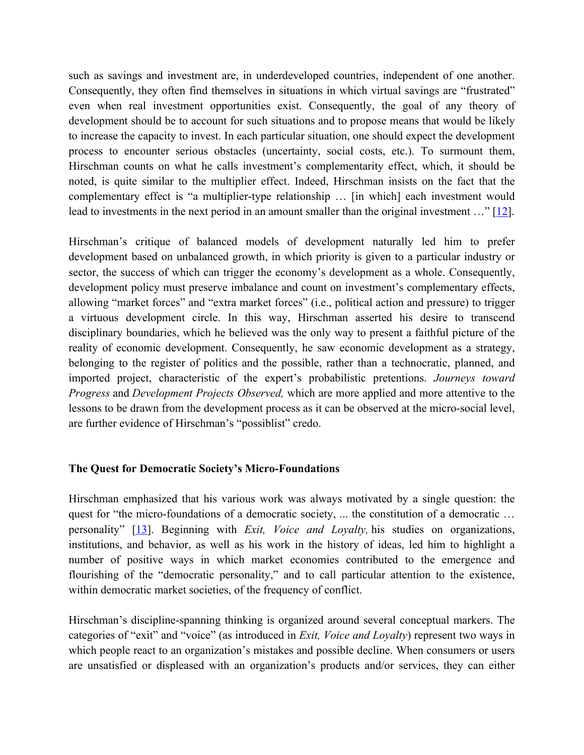such as savings and investment are, in underdeveloped countries, independent of one another. Consequently, they often find themselves in situations in which virtual savings are "frustrated" even when real investment opportunities exist. Consequently, the goal of any theory of development should be to account for such situations and to propose means that would be likely to increase the capacity to invest. In each particular situation, one should expect the development process to encounter serious obstacles (uncertainty, social costs, etc.). To surmount them, Hirschman counts on what he calls investment's complementarity effect, which, it should be noted, is quite similar to the multiplier effect. Indeed, Hirschman insists on the fact that the complementary effect is "a multiplier-type relationship … [in which] each investment would lead to investments in the next period in an amount smaller than the original investment ..." [12].

Hirschman's critique of balanced models of development naturally led him to prefer development based on unbalanced growth, in which priority is given to a particular industry or sector, the success of which can trigger the economy's development as a whole. Consequently, development policy must preserve imbalance and count on investment's complementary effects, allowing "market forces" and "extra market forces" (i.e., political action and pressure) to trigger a virtuous development circle. In this way, Hirschman asserted his desire to transcend disciplinary boundaries, which he believed was the only way to present a faithful picture of the reality of economic development. Consequently, he saw economic development as a strategy, belonging to the register of politics and the possible, rather than a technocratic, planned, and imported project, characteristic of the expert's probabilistic pretentions. *Journeys toward Progress* and *Development Projects Observed,* which are more applied and more attentive to the lessons to be drawn from the development process as it can be observed at the micro-social level, are further evidence of Hirschman's "possiblist" credo.

# **The Quest for Democratic Society's Micro-Foundations**

Hirschman emphasized that his various work was always motivated by a single question: the quest for "the micro-foundations of a democratic society, ... the constitution of a democratic ... personality" [13]. Beginning with *Exit, Voice and Loyalty,* his studies on organizations, institutions, and behavior, as well as his work in the history of ideas, led him to highlight a number of positive ways in which market economies contributed to the emergence and flourishing of the "democratic personality," and to call particular attention to the existence, within democratic market societies, of the frequency of conflict.

Hirschman's discipline-spanning thinking is organized around several conceptual markers. The categories of "exit" and "voice" (as introduced in *Exit, Voice and Loyalty*) represent two ways in which people react to an organization's mistakes and possible decline. When consumers or users are unsatisfied or displeased with an organization's products and/or services, they can either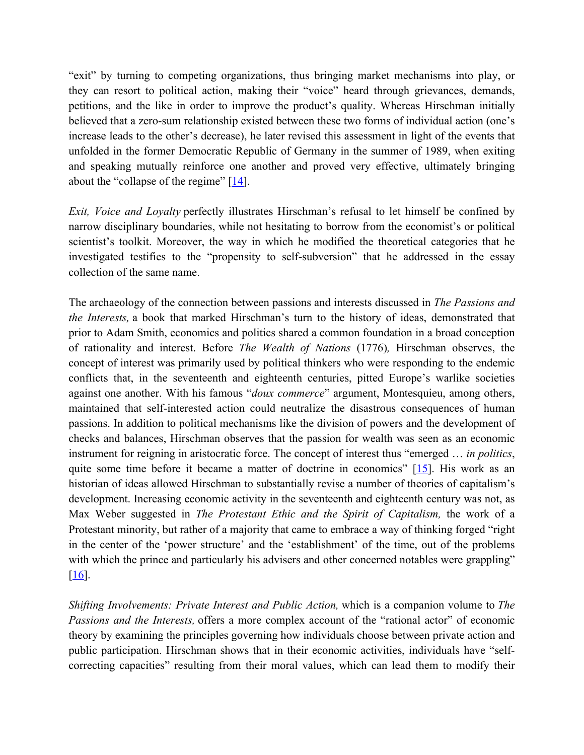"exit" by turning to competing organizations, thus bringing market mechanisms into play, or they can resort to political action, making their "voice" heard through grievances, demands, petitions, and the like in order to improve the product's quality. Whereas Hirschman initially believed that a zero-sum relationship existed between these two forms of individual action (one's increase leads to the other's decrease), he later revised this assessment in light of the events that unfolded in the former Democratic Republic of Germany in the summer of 1989, when exiting and speaking mutually reinforce one another and proved very effective, ultimately bringing about the "collapse of the regime"  $[14]$ .

*Exit, Voice and Loyalty* perfectly illustrates Hirschman's refusal to let himself be confined by narrow disciplinary boundaries, while not hesitating to borrow from the economist's or political scientist's toolkit. Moreover, the way in which he modified the theoretical categories that he investigated testifies to the "propensity to self-subversion" that he addressed in the essay collection of the same name.

The archaeology of the connection between passions and interests discussed in *The Passions and the Interests,* a book that marked Hirschman's turn to the history of ideas, demonstrated that prior to Adam Smith, economics and politics shared a common foundation in a broad conception of rationality and interest. Before *The Wealth of Nations* (1776)*,* Hirschman observes, the concept of interest was primarily used by political thinkers who were responding to the endemic conflicts that, in the seventeenth and eighteenth centuries, pitted Europe's warlike societies against one another. With his famous "*doux commerce*" argument, Montesquieu, among others, maintained that self-interested action could neutralize the disastrous consequences of human passions. In addition to political mechanisms like the division of powers and the development of checks and balances, Hirschman observes that the passion for wealth was seen as an economic instrument for reigning in aristocratic force. The concept of interest thus "emerged … *in politics*, quite some time before it became a matter of doctrine in economics" [15]. His work as an historian of ideas allowed Hirschman to substantially revise a number of theories of capitalism's development. Increasing economic activity in the seventeenth and eighteenth century was not, as Max Weber suggested in *The Protestant Ethic and the Spirit of Capitalism,* the work of a Protestant minority, but rather of a majority that came to embrace a way of thinking forged "right in the center of the 'power structure' and the 'establishment' of the time, out of the problems with which the prince and particularly his advisers and other concerned notables were grappling"  $\vert 16 \vert$ .

*Shifting Involvements: Private Interest and Public Action,* which is a companion volume to *The Passions and the Interests,* offers a more complex account of the "rational actor" of economic theory by examining the principles governing how individuals choose between private action and public participation. Hirschman shows that in their economic activities, individuals have "selfcorrecting capacities" resulting from their moral values, which can lead them to modify their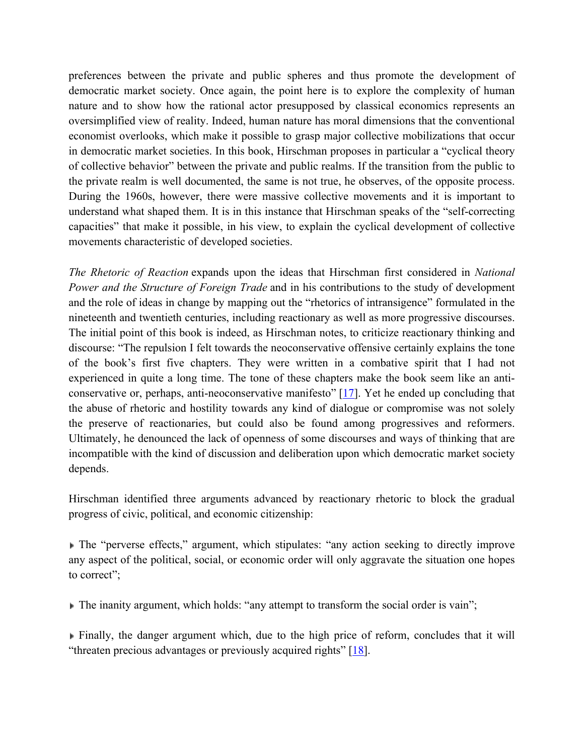preferences between the private and public spheres and thus promote the development of democratic market society. Once again, the point here is to explore the complexity of human nature and to show how the rational actor presupposed by classical economics represents an oversimplified view of reality. Indeed, human nature has moral dimensions that the conventional economist overlooks, which make it possible to grasp major collective mobilizations that occur in democratic market societies. In this book, Hirschman proposes in particular a "cyclical theory of collective behavior" between the private and public realms. If the transition from the public to the private realm is well documented, the same is not true, he observes, of the opposite process. During the 1960s, however, there were massive collective movements and it is important to understand what shaped them. It is in this instance that Hirschman speaks of the "self-correcting capacities" that make it possible, in his view, to explain the cyclical development of collective movements characteristic of developed societies.

*The Rhetoric of Reaction* expands upon the ideas that Hirschman first considered in *National Power and the Structure of Foreign Trade* and in his contributions to the study of development and the role of ideas in change by mapping out the "rhetorics of intransigence" formulated in the nineteenth and twentieth centuries, including reactionary as well as more progressive discourses. The initial point of this book is indeed, as Hirschman notes, to criticize reactionary thinking and discourse: "The repulsion I felt towards the neoconservative offensive certainly explains the tone of the book's first five chapters. They were written in a combative spirit that I had not experienced in quite a long time. The tone of these chapters make the book seem like an anticonservative or, perhaps, anti-neoconservative manifesto"  $[17]$ . Yet he ended up concluding that the abuse of rhetoric and hostility towards any kind of dialogue or compromise was not solely the preserve of reactionaries, but could also be found among progressives and reformers. Ultimately, he denounced the lack of openness of some discourses and ways of thinking that are incompatible with the kind of discussion and deliberation upon which democratic market society depends.

Hirschman identified three arguments advanced by reactionary rhetoric to block the gradual progress of civic, political, and economic citizenship:

The "perverse effects," argument, which stipulates: "any action seeking to directly improve any aspect of the political, social, or economic order will only aggravate the situation one hopes to correct";

The inanity argument, which holds: "any attempt to transform the social order is vain";

Finally, the danger argument which, due to the high price of reform, concludes that it will "threaten precious advantages or previously acquired rights" [18].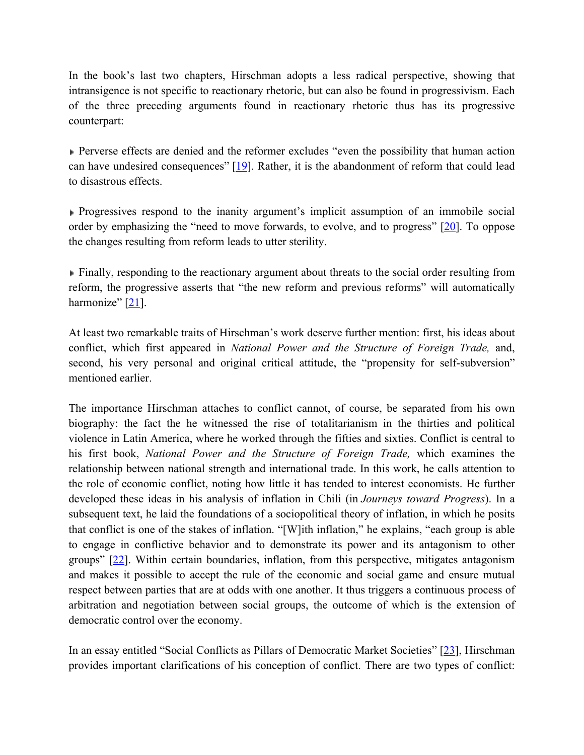In the book's last two chapters, Hirschman adopts a less radical perspective, showing that intransigence is not specific to reactionary rhetoric, but can also be found in progressivism. Each of the three preceding arguments found in reactionary rhetoric thus has its progressive counterpart:

**Perverse effects are denied and the reformer excludes "even the possibility that human action** can have undesired consequences" [19]. Rather, it is the abandonment of reform that could lead to disastrous effects.

Progressives respond to the inanity argument's implicit assumption of an immobile social order by emphasizing the "need to move forwards, to evolve, and to progress" [20]. To oppose the changes resulting from reform leads to utter sterility.

**Finally, responding to the reactionary argument about threats to the social order resulting from** reform, the progressive asserts that "the new reform and previous reforms" will automatically harmonize"  $[21]$ .

At least two remarkable traits of Hirschman's work deserve further mention: first, his ideas about conflict, which first appeared in *National Power and the Structure of Foreign Trade,* and, second, his very personal and original critical attitude, the "propensity for self-subversion" mentioned earlier.

The importance Hirschman attaches to conflict cannot, of course, be separated from his own biography: the fact the he witnessed the rise of totalitarianism in the thirties and political violence in Latin America, where he worked through the fifties and sixties. Conflict is central to his first book, *National Power and the Structure of Foreign Trade,* which examines the relationship between national strength and international trade. In this work, he calls attention to the role of economic conflict, noting how little it has tended to interest economists. He further developed these ideas in his analysis of inflation in Chili (in *Journeys toward Progress*). In a subsequent text, he laid the foundations of a sociopolitical theory of inflation, in which he posits that conflict is one of the stakes of inflation. "[W]ith inflation," he explains, "each group is able to engage in conflictive behavior and to demonstrate its power and its antagonism to other groups" [22]. Within certain boundaries, inflation, from this perspective, mitigates antagonism and makes it possible to accept the rule of the economic and social game and ensure mutual respect between parties that are at odds with one another. It thus triggers a continuous process of arbitration and negotiation between social groups, the outcome of which is the extension of democratic control over the economy.

In an essay entitled "Social Conflicts as Pillars of Democratic Market Societies" [23], Hirschman provides important clarifications of his conception of conflict. There are two types of conflict: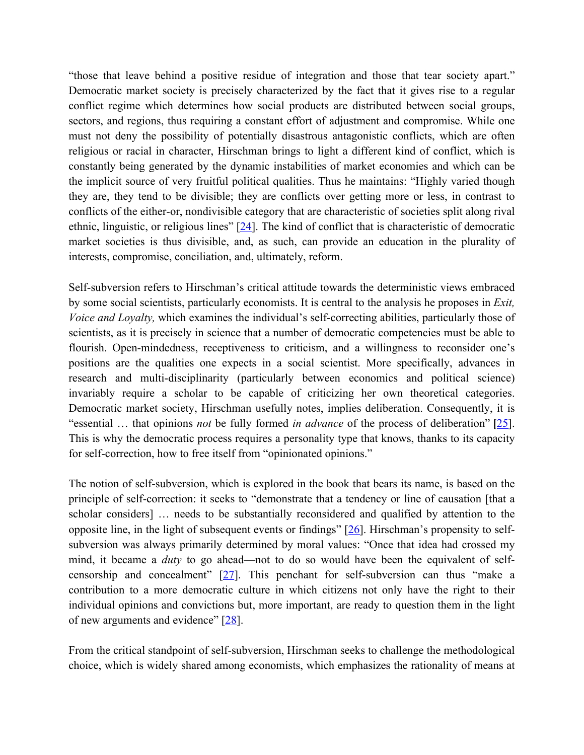"those that leave behind a positive residue of integration and those that tear society apart." Democratic market society is precisely characterized by the fact that it gives rise to a regular conflict regime which determines how social products are distributed between social groups, sectors, and regions, thus requiring a constant effort of adjustment and compromise. While one must not deny the possibility of potentially disastrous antagonistic conflicts, which are often religious or racial in character, Hirschman brings to light a different kind of conflict, which is constantly being generated by the dynamic instabilities of market economies and which can be the implicit source of very fruitful political qualities. Thus he maintains: "Highly varied though they are, they tend to be divisible; they are conflicts over getting more or less, in contrast to conflicts of the either-or, nondivisible category that are characteristic of societies split along rival ethnic, linguistic, or religious lines"  $[24]$ . The kind of conflict that is characteristic of democratic market societies is thus divisible, and, as such, can provide an education in the plurality of interests, compromise, conciliation, and, ultimately, reform.

Self-subversion refers to Hirschman's critical attitude towards the deterministic views embraced by some social scientists, particularly economists. It is central to the analysis he proposes in *Exit, Voice and Loyalty,* which examines the individual's self-correcting abilities, particularly those of scientists, as it is precisely in science that a number of democratic competencies must be able to flourish. Open-mindedness, receptiveness to criticism, and a willingness to reconsider one's positions are the qualities one expects in a social scientist. More specifically, advances in research and multi-disciplinarity (particularly between economics and political science) invariably require a scholar to be capable of criticizing her own theoretical categories. Democratic market society, Hirschman usefully notes, implies deliberation. Consequently, it is "essential … that opinions *not* be fully formed *in advance* of the process of deliberation" **[**25]. This is why the democratic process requires a personality type that knows, thanks to its capacity for self-correction, how to free itself from "opinionated opinions."

The notion of self-subversion, which is explored in the book that bears its name, is based on the principle of self-correction: it seeks to "demonstrate that a tendency or line of causation [that a scholar considers] … needs to be substantially reconsidered and qualified by attention to the opposite line, in the light of subsequent events or findings"  $[26]$ . Hirschman's propensity to selfsubversion was always primarily determined by moral values: "Once that idea had crossed my mind, it became a *duty* to go ahead—not to do so would have been the equivalent of selfcensorship and concealment" [27]. This penchant for self-subversion can thus "make a contribution to a more democratic culture in which citizens not only have the right to their individual opinions and convictions but, more important, are ready to question them in the light of new arguments and evidence" [28].

From the critical standpoint of self-subversion, Hirschman seeks to challenge the methodological choice, which is widely shared among economists, which emphasizes the rationality of means at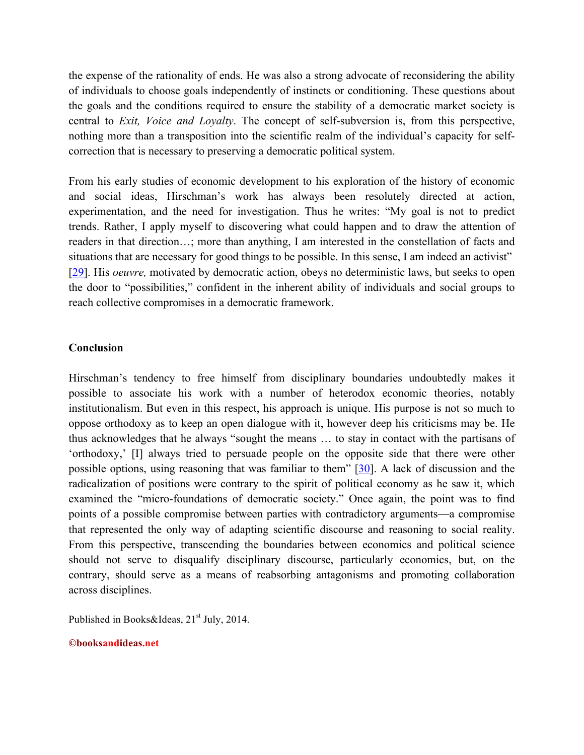the expense of the rationality of ends. He was also a strong advocate of reconsidering the ability of individuals to choose goals independently of instincts or conditioning. These questions about the goals and the conditions required to ensure the stability of a democratic market society is central to *Exit, Voice and Loyalty*. The concept of self-subversion is, from this perspective, nothing more than a transposition into the scientific realm of the individual's capacity for selfcorrection that is necessary to preserving a democratic political system.

From his early studies of economic development to his exploration of the history of economic and social ideas, Hirschman's work has always been resolutely directed at action, experimentation, and the need for investigation. Thus he writes: "My goal is not to predict trends. Rather, I apply myself to discovering what could happen and to draw the attention of readers in that direction…; more than anything, I am interested in the constellation of facts and situations that are necessary for good things to be possible. In this sense, I am indeed an activist" [29]. His *oeuvre,* motivated by democratic action, obeys no deterministic laws, but seeks to open the door to "possibilities," confident in the inherent ability of individuals and social groups to reach collective compromises in a democratic framework.

## **Conclusion**

Hirschman's tendency to free himself from disciplinary boundaries undoubtedly makes it possible to associate his work with a number of heterodox economic theories, notably institutionalism. But even in this respect, his approach is unique. His purpose is not so much to oppose orthodoxy as to keep an open dialogue with it, however deep his criticisms may be. He thus acknowledges that he always "sought the means … to stay in contact with the partisans of 'orthodoxy,' [I] always tried to persuade people on the opposite side that there were other possible options, using reasoning that was familiar to them" [30]. A lack of discussion and the radicalization of positions were contrary to the spirit of political economy as he saw it, which examined the "micro-foundations of democratic society." Once again, the point was to find points of a possible compromise between parties with contradictory arguments—a compromise that represented the only way of adapting scientific discourse and reasoning to social reality. From this perspective, transcending the boundaries between economics and political science should not serve to disqualify disciplinary discourse, particularly economics, but, on the contrary, should serve as a means of reabsorbing antagonisms and promoting collaboration across disciplines.

Published in Books&Ideas,  $21<sup>st</sup>$  July, 2014.

#### **©booksandideas.net**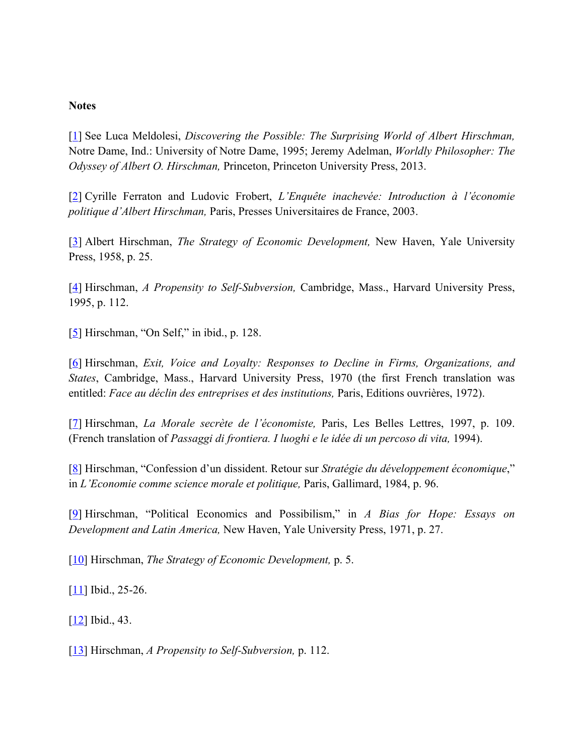### **Notes**

[1] See Luca Meldolesi, *Discovering the Possible: The Surprising World of Albert Hirschman,* Notre Dame, Ind.: University of Notre Dame, 1995; Jeremy Adelman, *Worldly Philosopher: The Odyssey of Albert O. Hirschman,* Princeton, Princeton University Press, 2013.

[2] Cyrille Ferraton and Ludovic Frobert, *L'Enquête inachevée: Introduction à l'économie politique d'Albert Hirschman,* Paris, Presses Universitaires de France, 2003.

[3] Albert Hirschman, *The Strategy of Economic Development,* New Haven, Yale University Press, 1958, p. 25.

[4] Hirschman, *A Propensity to Self-Subversion,* Cambridge, Mass., Harvard University Press, 1995, p. 112.

[5] Hirschman, "On Self," in ibid., p. 128.

[6] Hirschman, *Exit, Voice and Loyalty: Responses to Decline in Firms, Organizations, and States*, Cambridge, Mass., Harvard University Press, 1970 (the first French translation was entitled: *Face au déclin des entreprises et des institutions,* Paris, Editions ouvrières, 1972).

[7] Hirschman, *La Morale secrète de l'économiste,* Paris, Les Belles Lettres, 1997, p. 109. (French translation of *Passaggi di frontiera. I luoghi e le idée di un percoso di vita,* 1994).

[8] Hirschman, "Confession d'un dissident. Retour sur *Stratégie du développement économique*," in *L'Economie comme science morale et politique,* Paris, Gallimard, 1984, p. 96.

[9] Hirschman, "Political Economics and Possibilism," in *A Bias for Hope: Essays on Development and Latin America,* New Haven, Yale University Press, 1971, p. 27.

[10] Hirschman, *The Strategy of Economic Development,* p. 5.

 $[11]$  Ibid., 25-26.

[12] Ibid., 43.

[13] Hirschman, *A Propensity to Self-Subversion,* p. 112.